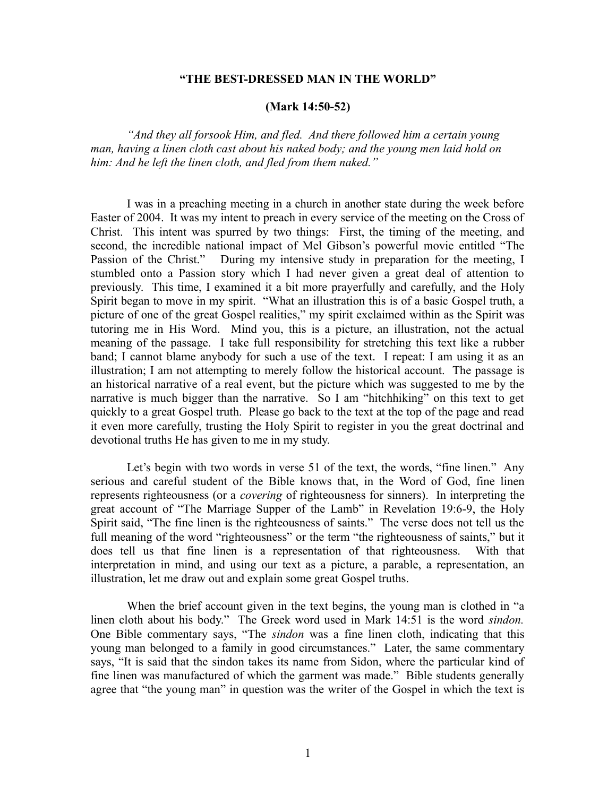## **"THE BEST-DRESSED MAN IN THE WORLD"**

## **(Mark 14:50-52)**

*"And they all forsook Him, and fled. And there followed him a certain young man, having a linen cloth cast about his naked body; and the young men laid hold on him: And he left the linen cloth, and fled from them naked."* 

I was in a preaching meeting in a church in another state during the week before Easter of 2004. It was my intent to preach in every service of the meeting on the Cross of Christ. This intent was spurred by two things: First, the timing of the meeting, and second, the incredible national impact of Mel Gibson's powerful movie entitled "The Passion of the Christ." During my intensive study in preparation for the meeting, I stumbled onto a Passion story which I had never given a great deal of attention to previously. This time, I examined it a bit more prayerfully and carefully, and the Holy Spirit began to move in my spirit. "What an illustration this is of a basic Gospel truth, a picture of one of the great Gospel realities," my spirit exclaimed within as the Spirit was tutoring me in His Word. Mind you, this is a picture, an illustration, not the actual meaning of the passage. I take full responsibility for stretching this text like a rubber band; I cannot blame anybody for such a use of the text. I repeat: I am using it as an illustration; I am not attempting to merely follow the historical account. The passage is an historical narrative of a real event, but the picture which was suggested to me by the narrative is much bigger than the narrative. So I am "hitchhiking" on this text to get quickly to a great Gospel truth. Please go back to the text at the top of the page and read it even more carefully, trusting the Holy Spirit to register in you the great doctrinal and devotional truths He has given to me in my study.

Let's begin with two words in verse 51 of the text, the words, "fine linen." Any serious and careful student of the Bible knows that, in the Word of God, fine linen represents righteousness (or a *covering* of righteousness for sinners). In interpreting the great account of "The Marriage Supper of the Lamb" in Revelation 19:6-9, the Holy Spirit said, "The fine linen is the righteousness of saints." The verse does not tell us the full meaning of the word "righteousness" or the term "the righteousness of saints," but it does tell us that fine linen is a representation of that righteousness. With that interpretation in mind, and using our text as a picture, a parable, a representation, an illustration, let me draw out and explain some great Gospel truths.

When the brief account given in the text begins, the young man is clothed in "a linen cloth about his body." The Greek word used in Mark 14:51 is the word *sindon.* One Bible commentary says, "The *sindon* was a fine linen cloth, indicating that this young man belonged to a family in good circumstances." Later, the same commentary says, "It is said that the sindon takes its name from Sidon, where the particular kind of fine linen was manufactured of which the garment was made." Bible students generally agree that "the young man" in question was the writer of the Gospel in which the text is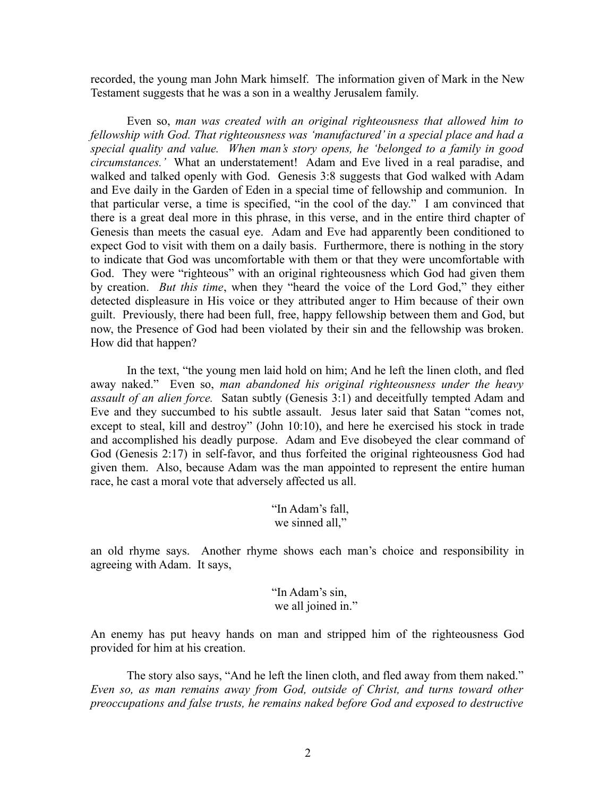recorded, the young man John Mark himself. The information given of Mark in the New Testament suggests that he was a son in a wealthy Jerusalem family.

Even so, *man was created with an original righteousness that allowed him to fellowship with God. That righteousness was 'manufactured' in a special place and had a special quality and value. When man's story opens, he 'belonged to a family in good circumstances.'* What an understatement! Adam and Eve lived in a real paradise, and walked and talked openly with God. Genesis 3:8 suggests that God walked with Adam and Eve daily in the Garden of Eden in a special time of fellowship and communion. In that particular verse, a time is specified, "in the cool of the day." I am convinced that there is a great deal more in this phrase, in this verse, and in the entire third chapter of Genesis than meets the casual eye. Adam and Eve had apparently been conditioned to expect God to visit with them on a daily basis. Furthermore, there is nothing in the story to indicate that God was uncomfortable with them or that they were uncomfortable with God. They were "righteous" with an original righteousness which God had given them by creation. *But this time*, when they "heard the voice of the Lord God," they either detected displeasure in His voice or they attributed anger to Him because of their own guilt. Previously, there had been full, free, happy fellowship between them and God, but now, the Presence of God had been violated by their sin and the fellowship was broken. How did that happen?

In the text, "the young men laid hold on him; And he left the linen cloth, and fled away naked." Even so, *man abandoned his original righteousness under the heavy assault of an alien force.* Satan subtly (Genesis 3:1) and deceitfully tempted Adam and Eve and they succumbed to his subtle assault. Jesus later said that Satan "comes not, except to steal, kill and destroy" (John 10:10), and here he exercised his stock in trade and accomplished his deadly purpose. Adam and Eve disobeyed the clear command of God (Genesis 2:17) in self-favor, and thus forfeited the original righteousness God had given them. Also, because Adam was the man appointed to represent the entire human race, he cast a moral vote that adversely affected us all.

> "In Adam's fall, we sinned all,"

an old rhyme says. Another rhyme shows each man's choice and responsibility in agreeing with Adam. It says,

> "In Adam's sin, we all joined in."

An enemy has put heavy hands on man and stripped him of the righteousness God provided for him at his creation.

The story also says, "And he left the linen cloth, and fled away from them naked." *Even so, as man remains away from God, outside of Christ, and turns toward other preoccupations and false trusts, he remains naked before God and exposed to destructive*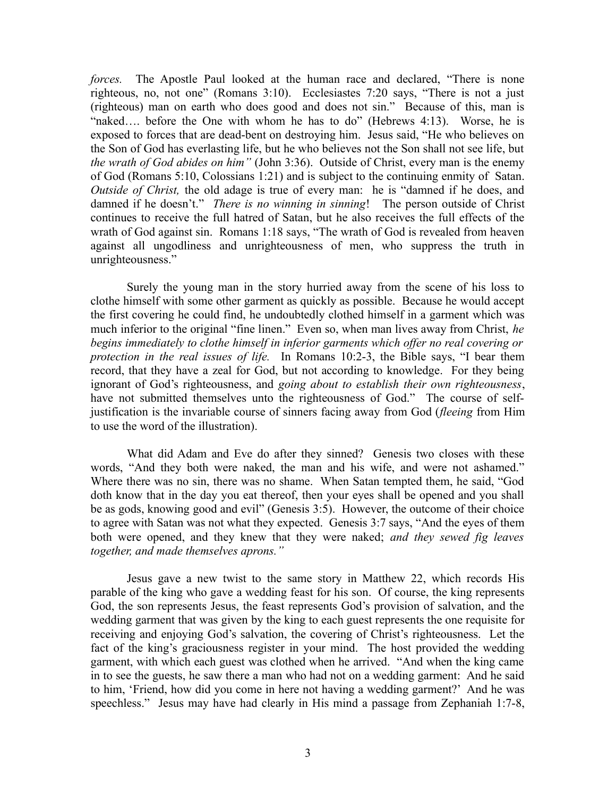*forces*. The Apostle Paul looked at the human race and declared, "There is none righteous, no, not one" (Romans 3:10). Ecclesiastes 7:20 says, "There is not a just (righteous) man on earth who does good and does not sin." Because of this, man is "naked.... before the One with whom he has to do" (Hebrews 4:13). Worse, he is exposed to forces that are dead-bent on destroying him. Jesus said, "He who believes on the Son of God has everlasting life, but he who believes not the Son shall not see life, but *the wrath of God abides on him"* (John 3:36). Outside of Christ, every man is the enemy of God (Romans 5:10, Colossians 1:21) and is subject to the continuing enmity of Satan. *Outside of Christ*, the old adage is true of every man: he is "damned if he does, and damned if he doesn't." *There is no winning in sinning*! The person outside of Christ continues to receive the full hatred of Satan, but he also receives the full effects of the wrath of God against sin. Romans 1:18 says, "The wrath of God is revealed from heaven against all ungodliness and unrighteousness of men, who suppress the truth in unrighteousness."

Surely the young man in the story hurried away from the scene of his loss to clothe himself with some other garment as quickly as possible. Because he would accept the first covering he could find, he undoubtedly clothed himself in a garment which was much inferior to the original "fine linen." Even so, when man lives away from Christ, *he begins immediately to clothe himself in inferior garments which offer no real covering or protection in the real issues of life.* In Romans 10:2-3, the Bible says, "I bear them record, that they have a zeal for God, but not according to knowledge. For they being ignorant of God's righteousness, and *going about to establish their own righteousness*, have not submitted themselves unto the righteousness of God." The course of selfjustification is the invariable course of sinners facing away from God (*fleeing* from Him to use the word of the illustration).

What did Adam and Eve do after they sinned? Genesis two closes with these words, "And they both were naked, the man and his wife, and were not ashamed." Where there was no sin, there was no shame. When Satan tempted them, he said, "God doth know that in the day you eat thereof, then your eyes shall be opened and you shall be as gods, knowing good and evil" (Genesis 3:5). However, the outcome of their choice to agree with Satan was not what they expected. Genesis 3:7 says, "And the eyes of them both were opened, and they knew that they were naked; *and they sewed fig leaves together, and made themselves aprons."* 

Jesus gave a new twist to the same story in Matthew 22, which records His parable of the king who gave a wedding feast for his son. Of course, the king represents God, the son represents Jesus, the feast represents God's provision of salvation, and the wedding garment that was given by the king to each guest represents the one requisite for receiving and enjoying God's salvation, the covering of Christ's righteousness. Let the fact of the king's graciousness register in your mind. The host provided the wedding garment, with which each guest was clothed when he arrived. "And when the king came in to see the guests, he saw there a man who had not on a wedding garment: And he said to him, 'Friend, how did you come in here not having a wedding garment?' And he was speechless." Jesus may have had clearly in His mind a passage from Zephaniah 1:7-8,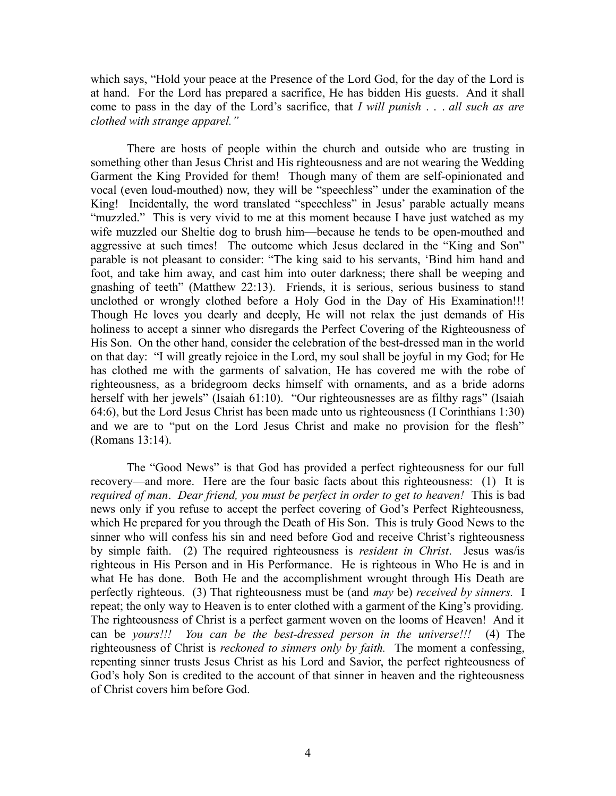which says, "Hold your peace at the Presence of the Lord God, for the day of the Lord is at hand. For the Lord has prepared a sacrifice, He has bidden His guests. And it shall come to pass in the day of the Lord's sacrifice, that *I will punish* . . . *all such as are clothed with strange apparel."* 

There are hosts of people within the church and outside who are trusting in something other than Jesus Christ and His righteousness and are not wearing the Wedding Garment the King Provided for them! Though many of them are self-opinionated and vocal (even loud-mouthed) now, they will be "speechless" under the examination of the King! Incidentally, the word translated "speechless" in Jesus' parable actually means "muzzled." This is very vivid to me at this moment because I have just watched as my wife muzzled our Sheltie dog to brush him—because he tends to be open-mouthed and aggressive at such times! The outcome which Jesus declared in the "King and Son" parable is not pleasant to consider: "The king said to his servants, 'Bind him hand and foot, and take him away, and cast him into outer darkness; there shall be weeping and gnashing of teeth" (Matthew 22:13). Friends, it is serious, serious business to stand unclothed or wrongly clothed before a Holy God in the Day of His Examination!!! Though He loves you dearly and deeply, He will not relax the just demands of His holiness to accept a sinner who disregards the Perfect Covering of the Righteousness of His Son. On the other hand, consider the celebration of the best-dressed man in the world on that day: "I will greatly rejoice in the Lord, my soul shall be joyful in my God; for He has clothed me with the garments of salvation, He has covered me with the robe of righteousness, as a bridegroom decks himself with ornaments, and as a bride adorns herself with her jewels" (Isaiah 61:10). "Our righteousnesses are as filthy rags" (Isaiah 64:6), but the Lord Jesus Christ has been made unto us righteousness (I Corinthians 1:30) and we are to "put on the Lord Jesus Christ and make no provision for the flesh" (Romans 13:14).

The "Good News" is that God has provided a perfect righteousness for our full recovery—and more. Here are the four basic facts about this righteousness: (1) It is *required of man*. *Dear friend, you must be perfect in order to get to heaven!* This is bad news only if you refuse to accept the perfect covering of God's Perfect Righteousness, which He prepared for you through the Death of His Son. This is truly Good News to the sinner who will confess his sin and need before God and receive Christ's righteousness by simple faith. (2) The required righteousness is *resident in Christ*. Jesus was/is righteous in His Person and in His Performance. He is righteous in Who He is and in what He has done. Both He and the accomplishment wrought through His Death are perfectly righteous. (3) That righteousness must be (and *may* be) *received by sinners.* I repeat; the only way to Heaven is to enter clothed with a garment of the King's providing. The righteousness of Christ is a perfect garment woven on the looms of Heaven! And it can be *yours!!! You can be the best-dressed person in the universe!!!* (4) The righteousness of Christ is *reckoned to sinners only by faith.* The moment a confessing, repenting sinner trusts Jesus Christ as his Lord and Savior, the perfect righteousness of God's holy Son is credited to the account of that sinner in heaven and the righteousness of Christ covers him before God.